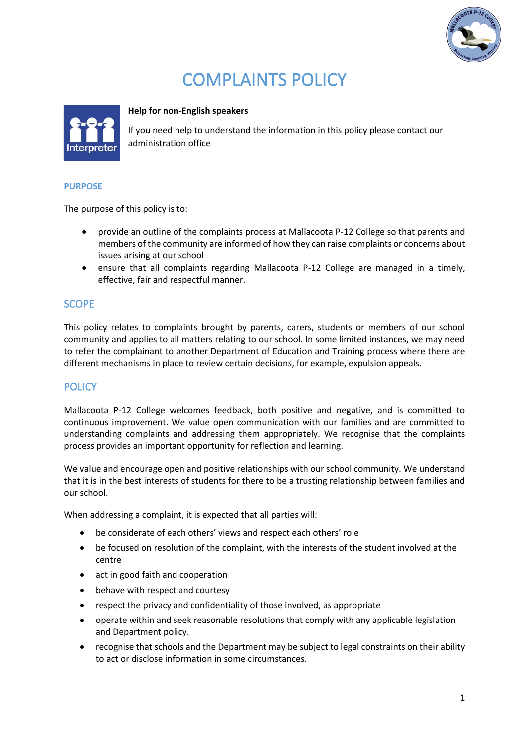

# COMPLAINTS POLICY



#### **Help for non-English speakers**

If you need help to understand the information in this policy please contact our administration office

#### **PURPOSE**

The purpose of this policy is to:

- provide an outline of the complaints process at Mallacoota P-12 College so that parents and members of the community are informed of how they can raise complaints or concerns about issues arising at our school
- ensure that all complaints regarding Mallacoota P-12 College are managed in a timely, effective, fair and respectful manner.

#### **SCOPE**

This policy relates to complaints brought by parents, carers, students or members of our school community and applies to all matters relating to our school. In some limited instances, we may need to refer the complainant to another Department of Education and Training process where there are different mechanisms in place to review certain decisions, for example, expulsion appeals.

## **POLICY**

Mallacoota P-12 College welcomes feedback, both positive and negative, and is committed to continuous improvement. We value open communication with our families and are committed to understanding complaints and addressing them appropriately. We recognise that the complaints process provides an important opportunity for reflection and learning.

We value and encourage open and positive relationships with our school community. We understand that it is in the best interests of students for there to be a trusting relationship between families and our school.

When addressing a complaint, it is expected that all parties will:

- be considerate of each others' views and respect each others' role
- be focused on resolution of the complaint, with the interests of the student involved at the centre
- act in good faith and cooperation
- behave with respect and courtesy
- respect the privacy and confidentiality of those involved, as appropriate
- operate within and seek reasonable resolutions that comply with any applicable legislation and Department policy.
- recognise that schools and the Department may be subject to legal constraints on their ability to act or disclose information in some circumstances.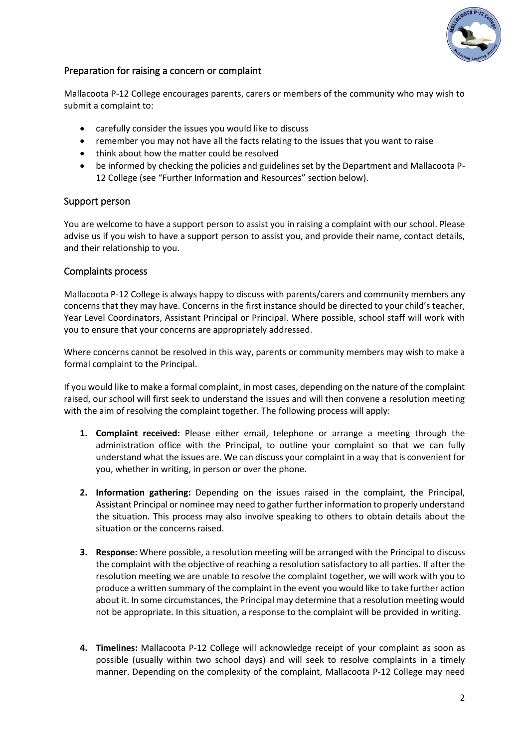

## Preparation for raising a concern or complaint

Mallacoota P-12 College encourages parents, carers or members of the community who may wish to submit a complaint to:

- carefully consider the issues you would like to discuss
- remember you may not have all the facts relating to the issues that you want to raise
- think about how the matter could be resolved
- be informed by checking the policies and guidelines set by the Department and Mallacoota P-12 College (see "Further Information and Resources" section below).

#### Support person

You are welcome to have a support person to assist you in raising a complaint with our school. Please advise us if you wish to have a support person to assist you, and provide their name, contact details, and their relationship to you.

#### Complaints process

Mallacoota P-12 College is always happy to discuss with parents/carers and community members any concerns that they may have. Concerns in the first instance should be directed to your child's teacher, Year Level Coordinators, Assistant Principal or Principal. Where possible, school staff will work with you to ensure that your concerns are appropriately addressed.

Where concerns cannot be resolved in this way, parents or community members may wish to make a formal complaint to the Principal.

If you would like to make a formal complaint, in most cases, depending on the nature of the complaint raised, our school will first seek to understand the issues and will then convene a resolution meeting with the aim of resolving the complaint together. The following process will apply:

- **1. Complaint received:** Please either email, telephone or arrange a meeting through the administration office with the Principal, to outline your complaint so that we can fully understand what the issues are. We can discuss your complaint in a way that is convenient for you, whether in writing, in person or over the phone.
- **2. Information gathering:** Depending on the issues raised in the complaint, the Principal, Assistant Principal or nominee may need to gather further information to properly understand the situation. This process may also involve speaking to others to obtain details about the situation or the concerns raised.
- **3. Response:** Where possible, a resolution meeting will be arranged with the Principal to discuss the complaint with the objective of reaching a resolution satisfactory to all parties. If after the resolution meeting we are unable to resolve the complaint together, we will work with you to produce a written summary of the complaint in the event you would like to take further action about it. In some circumstances, the Principal may determine that a resolution meeting would not be appropriate. In this situation, a response to the complaint will be provided in writing.
- **4. Timelines:** Mallacoota P-12 College will acknowledge receipt of your complaint as soon as possible (usually within two school days) and will seek to resolve complaints in a timely manner. Depending on the complexity of the complaint, Mallacoota P-12 College may need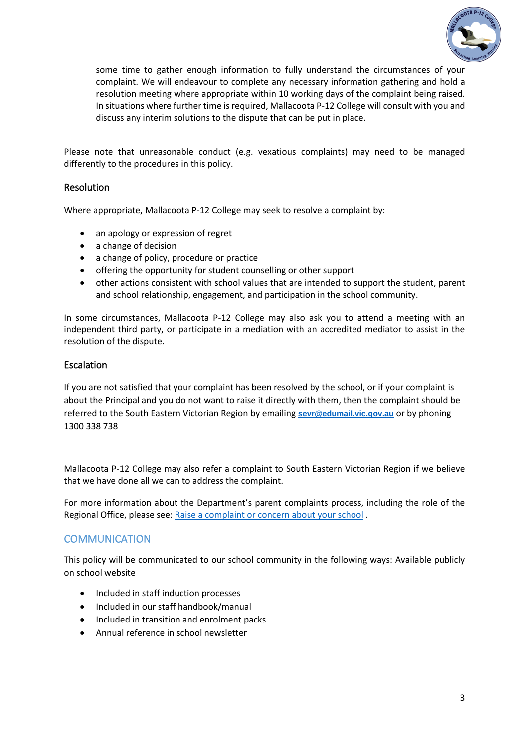

some time to gather enough information to fully understand the circumstances of your complaint. We will endeavour to complete any necessary information gathering and hold a resolution meeting where appropriate within 10 working days of the complaint being raised. In situations where further time is required, Mallacoota P-12 College will consult with you and discuss any interim solutions to the dispute that can be put in place.

Please note that unreasonable conduct (e.g. vexatious complaints) may need to be managed differently to the procedures in this policy.

### **Resolution**

Where appropriate, Mallacoota P-12 College may seek to resolve a complaint by:

- an apology or expression of regret
- a change of decision
- a change of policy, procedure or practice
- offering the opportunity for student counselling or other support
- other actions consistent with school values that are intended to support the student, parent and school relationship, engagement, and participation in the school community.

In some circumstances, Mallacoota P-12 College may also ask you to attend a meeting with an independent third party, or participate in a mediation with an accredited mediator to assist in the resolution of the dispute.

#### Escalation

If you are not satisfied that your complaint has been resolved by the school, or if your complaint is about the Principal and you do not want to raise it directly with them, then the complaint should be referred to the South Eastern Victorian Region by emailing **[sevr@edumail.vic.gov.au](mailto:sevr@edumail.vic.gov.au)** or by phoning 1300 338 738

Mallacoota P-12 College may also refer a complaint to South Eastern Victorian Region if we believe that we have done all we can to address the complaint.

For more information about the Department's parent complaints process, including the role of the Regional Office, please see: Raise a complaint or [concern about your school](https://www.education.vic.gov.au/parents/going-to-school/Pages/school-complaints.aspx#policy) .

#### **COMMUNICATION**

This policy will be communicated to our school community in the following ways: Available publicly on school website

- Included in staff induction processes
- Included in our staff handbook/manual
- Included in transition and enrolment packs
- Annual reference in school newsletter